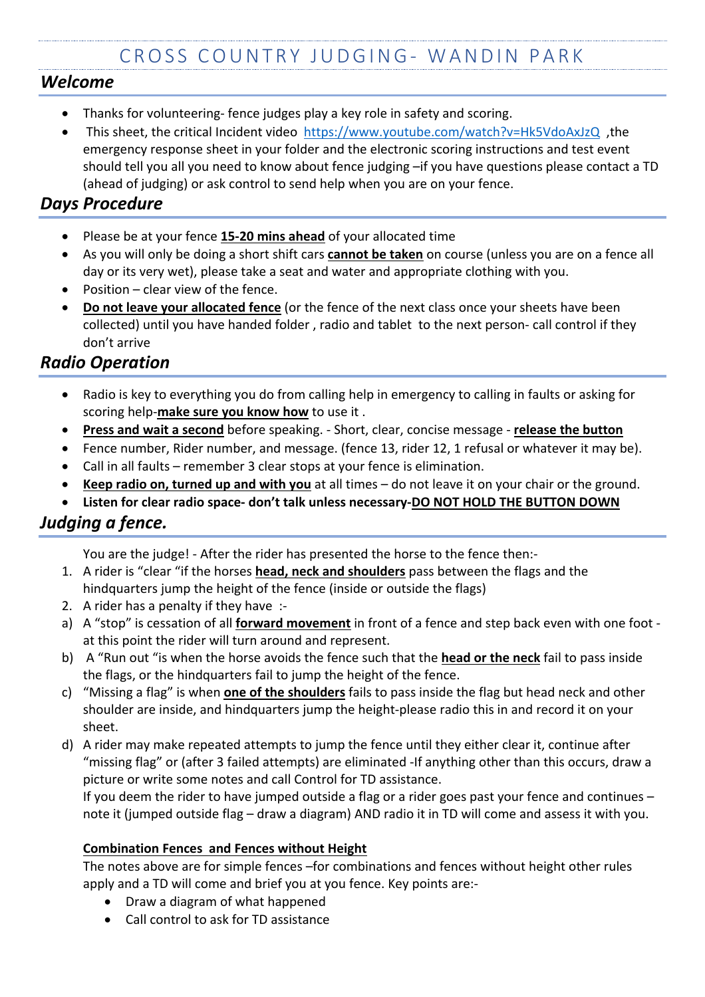### *Welcome*

- Thanks for volunteering- fence judges play a key role in safety and scoring.
- This sheet, the critical Incident video https://www.youtube.com/watch?v=Hk5VdoAxJzQ ,the emergency response sheet in your folder and the electronic scoring instructions and test event should tell you all you need to know about fence judging –if you have questions please contact a TD (ahead of judging) or ask control to send help when you are on your fence.

## *Days Procedure*

- Please be at your fence **15-20 mins ahead** of your allocated time
- As you will only be doing a short shift cars **cannot be taken** on course (unless you are on a fence all day or its very wet), please take a seat and water and appropriate clothing with you.
- Position clear view of the fence.
- **Do not leave your allocated fence** (or the fence of the next class once your sheets have been collected) until you have handed folder , radio and tablet to the next person- call control if they don't arrive

## *Radio Operation*

- Radio is key to everything you do from calling help in emergency to calling in faults or asking for scoring help-**make sure you know how** to use it .
- **Press and wait a second** before speaking. Short, clear, concise message **release the button**
- Fence number, Rider number, and message. (fence 13, rider 12, 1 refusal or whatever it may be).
- Call in all faults remember 3 clear stops at your fence is elimination.
- **Keep radio on, turned up and with you** at all times do not leave it on your chair or the ground.
- **Listen for clear radio space- don't talk unless necessary-DO NOT HOLD THE BUTTON DOWN**

# *Judging a fence.*

You are the judge! - After the rider has presented the horse to the fence then:-

- 1. A rider is "clear "if the horses **head, neck and shoulders** pass between the flags and the hindquarters jump the height of the fence (inside or outside the flags)
- 2. A rider has a penalty if they have :-
- a) A "stop" is cessation of all **forward movement** in front of a fence and step back even with one foot at this point the rider will turn around and represent.
- b) A "Run out "is when the horse avoids the fence such that the **head or the neck** fail to pass inside the flags, or the hindquarters fail to jump the height of the fence.
- c) "Missing a flag" is when **one of the shoulders** fails to pass inside the flag but head neck and other shoulder are inside, and hindquarters jump the height-please radio this in and record it on your sheet.
- d) A rider may make repeated attempts to jump the fence until they either clear it, continue after "missing flag" or (after 3 failed attempts) are eliminated -If anything other than this occurs, draw a picture or write some notes and call Control for TD assistance.

If you deem the rider to have jumped outside a flag or a rider goes past your fence and continues – note it (jumped outside flag – draw a diagram) AND radio it in TD will come and assess it with you.

#### **Combination Fences and Fences without Height**

The notes above are for simple fences –for combinations and fences without height other rules apply and a TD will come and brief you at you fence. Key points are:-

- Draw a diagram of what happened
- Call control to ask for TD assistance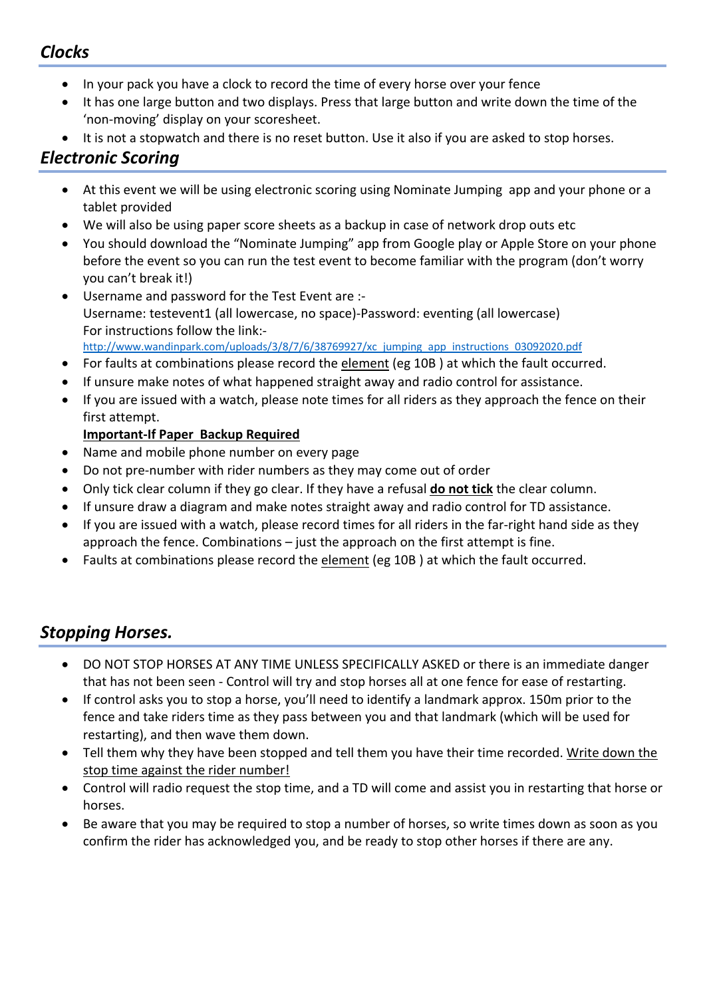## *Clocks*

- In your pack you have a clock to record the time of every horse over your fence
- It has one large button and two displays. Press that large button and write down the time of the 'non-moving' display on your scoresheet.
- It is not a stopwatch and there is no reset button. Use it also if you are asked to stop horses.

### *Electronic Scoring*

- At this event we will be using electronic scoring using Nominate Jumping app and your phone or a tablet provided
- We will also be using paper score sheets as a backup in case of network drop outs etc
- You should download the "Nominate Jumping" app from Google play or Apple Store on your phone before the event so you can run the test event to become familiar with the program (don't worry you can't break it!)
- Username and password for the Test Event are :-Username: testevent1 (all lowercase, no space)-Password: eventing (all lowercase) For instructions follow the link: http://www.wandinpark.com/uploads/3/8/7/6/38769927/xc\_jumping\_app\_instructions\_03092020.pdf
- For faults at combinations please record the element (eg 10B) at which the fault occurred.
- If unsure make notes of what happened straight away and radio control for assistance.
- If you are issued with a watch, please note times for all riders as they approach the fence on their first attempt.

#### **Important-If Paper Backup Required**

- Name and mobile phone number on every page
- Do not pre-number with rider numbers as they may come out of order
- Only tick clear column if they go clear. If they have a refusal **do not tick** the clear column.
- If unsure draw a diagram and make notes straight away and radio control for TD assistance.
- If you are issued with a watch, please record times for all riders in the far-right hand side as they approach the fence. Combinations – just the approach on the first attempt is fine.
- Faults at combinations please record the element (eg 10B ) at which the fault occurred.

### *Stopping Horses.*

- DO NOT STOP HORSES AT ANY TIME UNLESS SPECIFICALLY ASKED or there is an immediate danger that has not been seen - Control will try and stop horses all at one fence for ease of restarting.
- If control asks you to stop a horse, you'll need to identify a landmark approx. 150m prior to the fence and take riders time as they pass between you and that landmark (which will be used for restarting), and then wave them down.
- Tell them why they have been stopped and tell them you have their time recorded. Write down the stop time against the rider number!
- Control will radio request the stop time, and a TD will come and assist you in restarting that horse or horses.
- Be aware that you may be required to stop a number of horses, so write times down as soon as you confirm the rider has acknowledged you, and be ready to stop other horses if there are any.